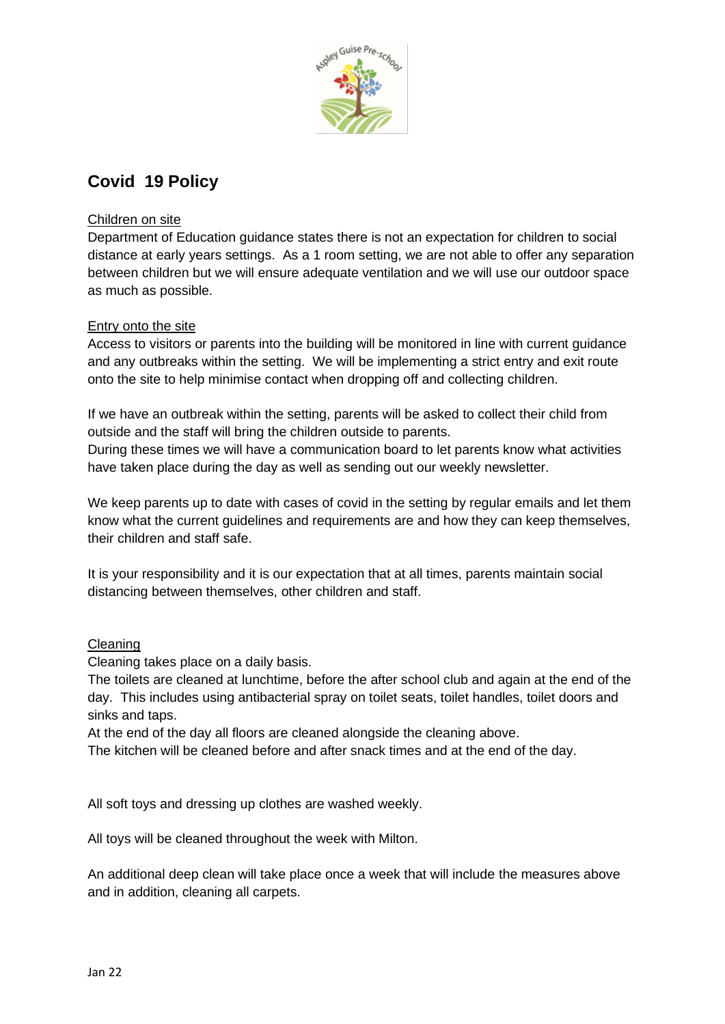

# **Covid 19 Policy**

## Children on site

Department of Education guidance states there is not an expectation for children to social distance at early years settings. As a 1 room setting, we are not able to offer any separation between children but we will ensure adequate ventilation and we will use our outdoor space as much as possible.

## Entry onto the site

Access to visitors or parents into the building will be monitored in line with current guidance and any outbreaks within the setting. We will be implementing a strict entry and exit route onto the site to help minimise contact when dropping off and collecting children.

If we have an outbreak within the setting, parents will be asked to collect their child from outside and the staff will bring the children outside to parents.

During these times we will have a communication board to let parents know what activities have taken place during the day as well as sending out our weekly newsletter.

We keep parents up to date with cases of covid in the setting by regular emails and let them know what the current guidelines and requirements are and how they can keep themselves, their children and staff safe.

It is your responsibility and it is our expectation that at all times, parents maintain social distancing between themselves, other children and staff.

## Cleaning

Cleaning takes place on a daily basis.

The toilets are cleaned at lunchtime, before the after school club and again at the end of the day. This includes using antibacterial spray on toilet seats, toilet handles, toilet doors and sinks and taps.

At the end of the day all floors are cleaned alongside the cleaning above.

The kitchen will be cleaned before and after snack times and at the end of the day.

All soft toys and dressing up clothes are washed weekly.

All toys will be cleaned throughout the week with Milton.

An additional deep clean will take place once a week that will include the measures above and in addition, cleaning all carpets.